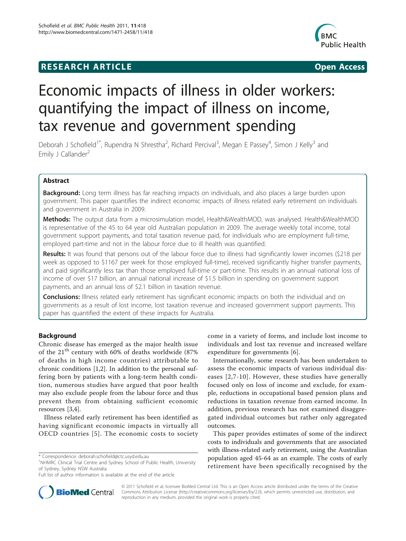# **RESEARCH ARTICLE Example 2014 CONSUMING ACCESS**



# Economic impacts of illness in older workers: quantifying the impact of illness on income, tax revenue and government spending

Deborah J Schofield<sup>1\*</sup>, Rupendra N Shrestha<sup>2</sup>, Richard Percival<sup>3</sup>, Megan E Passey<sup>4</sup>, Simon J Kelly<sup>3</sup> and Emily J Callander<sup>2</sup>

# Abstract

**Background:** Long term illness has far reaching impacts on individuals, and also places a large burden upon government. This paper quantifies the indirect economic impacts of illness related early retirement on individuals and government in Australia in 2009.

Methods: The output data from a microsimulation model, Health&WealthMOD, was analysed. Health&WealthMOD is representative of the 45 to 64 year old Australian population in 2009. The average weekly total income, total government support payments, and total taxation revenue paid, for individuals who are employment full-time, employed part-time and not in the labour force due to ill health was quantified.

Results: It was found that persons out of the labour force due to illness had significantly lower incomes (\$218 per week as opposed to \$1167 per week for those employed full-time), received significantly higher transfer payments, and paid significantly less tax than those employed full-time or part-time. This results in an annual national loss of income of over \$17 billion, an annual national increase of \$1.5 billion in spending on government support payments, and an annual loss of \$2.1 billion in taxation revenue.

**Conclusions:** Illness related early retirement has significant economic impacts on both the individual and on governments as a result of lost income, lost taxation revenue and increased government support payments. This paper has quantified the extent of these impacts for Australia.

# Background

Chronic disease has emerged as the major health issue of the  $21<sup>th</sup>$  century with 60% of deaths worldwide (87% of deaths in high income countries) attributable to chronic conditions [\[1,2\]](#page-5-0). In addition to the personal suffering born by patients with a long-term health condition, numerous studies have argued that poor health may also exclude people from the labour force and thus prevent them from obtaining sufficient economic resources [\[3,4](#page-5-0)].

Illness related early retirement has been identified as having significant economic impacts in virtually all OECD countries [[5](#page-6-0)]. The economic costs to society come in a variety of forms, and include lost income to individuals and lost tax revenue and increased welfare expenditure for governments [[6\]](#page-6-0).

Internationally, some research has been undertaken to assess the economic impacts of various individual diseases [[2](#page-5-0),[7](#page-6-0)-[10](#page-6-0)]. However, these studies have generally focused only on loss of income and exclude, for example, reductions in occupational based pension plans and reductions in taxation revenue from earned income. In addition, previous research has not examined disaggregated individual outcomes but rather only aggregated outcomes.

This paper provides estimates of some of the indirect costs to individuals and governments that are associated with illness-related early retirement, using the Australian population aged 45-64 as an example. The costs of early retirement have been specifically recognised by the



© 2011 Schofield et al; licensee BioMed Central Ltd. This is an Open Access article distributed under the terms of the Creative Commons Attribution License [\(http://creativecommons.org/licenses/by/2.0](http://creativecommons.org/licenses/by/2.0)), which permits unrestricted use, distribution, and reproduction in any medium, provided the original work is properly cited.

<sup>\*</sup> Correspondence: [deborah.schofield@ctc.usyd.edu.au](mailto:deborah.schofield@ctc.usyd.edu.au)

<sup>&</sup>lt;sup>1</sup>NHMRC Clinical Trial Centre and Sydney School of Public Health, University of Sydney, Sydney NSW Australia

Full list of author information is available at the end of the article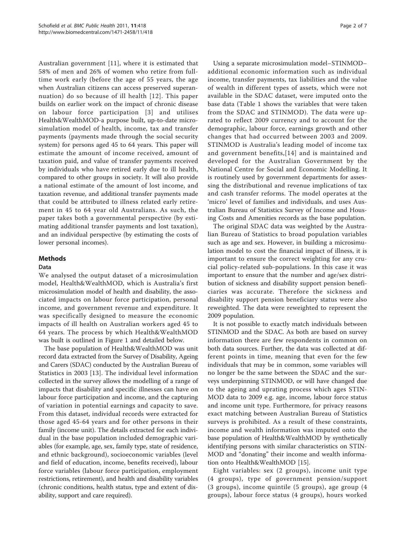Australian government [[11\]](#page-6-0), where it is estimated that 58% of men and 26% of women who retire from fulltime work early (before the age of 55 years, the age when Australian citizens can access preserved superannuation) do so because of ill health [[12](#page-6-0)]. This paper builds on earlier work on the impact of chronic disease on labour force participation [[3\]](#page-5-0) and utilises Health&WealthMOD-a purpose built, up-to-date microsimulation model of health, income, tax and transfer payments (payments made through the social security system) for persons aged 45 to 64 years. This paper will estimate the amount of income received, amount of taxation paid, and value of transfer payments received by individuals who have retired early due to ill health, compared to other groups in society. It will also provide a national estimate of the amount of lost income, and taxation revenue, and additional transfer payments made that could be attributed to illness related early retirement in 45 to 64 year old Australians. As such, the paper takes both a governmental perspective (by estimating additional transfer payments and lost taxation), and an individual perspective (by estimating the costs of lower personal incomes).

# Methods

## Data

We analysed the output dataset of a microsimulation model, Health&WealthMOD, which is Australia's first microsimulation model of health and disability, the associated impacts on labour force participation, personal income, and government revenue and expenditure. It was specifically designed to measure the economic impacts of ill health on Australian workers aged 45 to 64 years. The process by which Health&WealthMOD was built is outlined in Figure [1](#page-2-0) and detailed below.

The base population of Health&WealthMOD was unit record data extracted from the Survey of Disability, Ageing and Carers (SDAC) conducted by the Australian Bureau of Statistics in 2003 [[13](#page-6-0)]. The individual level information collected in the survey allows the modelling of a range of impacts that disability and specific illnesses can have on labour force participation and income, and the capturing of variation in potential earnings and capacity to save. From this dataset, individual records were extracted for those aged 45-64 years and for other persons in their family (income unit). The details extracted for each individual in the base population included demographic variables (for example, age, sex, family type, state of residence, and ethnic background), socioeconomic variables (level and field of education, income, benefits received), labour force variables (labour force participation, employment restrictions, retirement), and health and disability variables (chronic conditions, health status, type and extent of disability, support and care required).

Using a separate microsimulation model–STINMOD– additional economic information such as individual income, transfer payments, tax liabilities and the value of wealth in different types of assets, which were not available in the SDAC dataset, were imputed onto the base data (Table [1](#page-3-0) shows the variables that were taken from the SDAC and STINMOD). The data were uprated to reflect 2009 currency and to account for the demographic, labour force, earnings growth and other changes that had occurred between 2003 and 2009. STINMOD is Australia's leading model of income tax and government benefits,[[14](#page-6-0)] and is maintained and developed for the Australian Government by the National Centre for Social and Economic Modelling. It is routinely used by government departments for assessing the distributional and revenue implications of tax and cash transfer reforms. The model operates at the 'micro' level of families and individuals, and uses Australian Bureau of Statistics Survey of Income and Housing Costs and Amenities records as the base population.

The original SDAC data was weighted by the Australian Bureau of Statistics to broad population variables such as age and sex. However, in building a microsimulation model to cost the financial impact of illness, it is important to ensure the correct weighting for any crucial policy-related sub-populations. In this case it was important to ensure that the number and age/sex distribution of sickness and disability support pension beneficiaries was accurate. Therefore the sickness and disability support pension beneficiary status were also reweighted. The data were reweighted to represent the 2009 population.

It is not possible to exactly match individuals between STINMOD and the SDAC. As both are based on survey information there are few respondents in common on both data sources. Further, the data was collected at different points in time, meaning that even for the few individuals that may be in common, some variables will no longer be the same between the SDAC and the surveys underpinning STINMOD, or will have changed due to the ageing and uprating process which ages STIN-MOD data to 2009 e.g. age, income, labour force status and income unit type. Furthermore, for privacy reasons exact matching between Australian Bureau of Statistics surveys is prohibited. As a result of these constraints, income and wealth information was imputed onto the base population of Health&WealthMOD by synthetically identifying persons with similar characteristics on STIN-MOD and "donating" their income and wealth information onto Health&WealthMOD [\[15](#page-6-0)].

Eight variables: sex (2 groups), income unit type (4 groups), type of government pension/support (3 groups), income quintile (5 groups), age group (4 groups), labour force status (4 groups), hours worked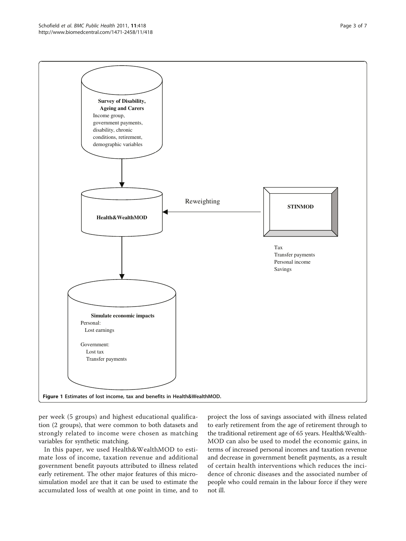<span id="page-2-0"></span>



Figure 1 Estimates of lost income, tax and benefits in Health&WealthMOD.

per week (5 groups) and highest educational qualification (2 groups), that were common to both datasets and strongly related to income were chosen as matching variables for synthetic matching.

In this paper, we used Health&WealthMOD to estimate loss of income, taxation revenue and additional government benefit payouts attributed to illness related early retirement. The other major features of this microsimulation model are that it can be used to estimate the accumulated loss of wealth at one point in time, and to

project the loss of savings associated with illness related to early retirement from the age of retirement through to the traditional retirement age of 65 years. Health&Wealth-MOD can also be used to model the economic gains, in terms of increased personal incomes and taxation revenue and decrease in government benefit payments, as a result of certain health interventions which reduces the incidence of chronic diseases and the associated number of people who could remain in the labour force if they were not ill.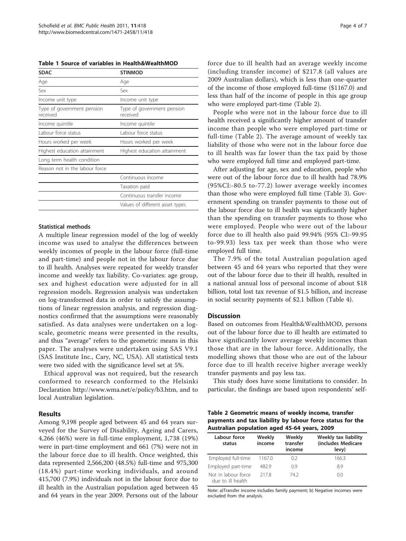<span id="page-3-0"></span>Table 1 Source of variables in Health&WealthMOD

| <b>SDAC</b>                            | <b>STINMOD</b>                         |  |
|----------------------------------------|----------------------------------------|--|
| Age                                    | Age                                    |  |
| Sex                                    | Sex                                    |  |
| Income unit type                       | Income unit type                       |  |
| Type of government pension<br>received | Type of government pension<br>received |  |
| Income quintile                        | Income quintile                        |  |
| Labour force status                    | Labour force status                    |  |
| Hours worked per week                  | Hours worked per week                  |  |
| Highest education attainment           | Highest education attainment           |  |
| Long term health condition             |                                        |  |
| Reason not in the labour force         |                                        |  |
|                                        | Continuous income                      |  |
|                                        | Taxation paid                          |  |
|                                        | Continuous transfer income             |  |
|                                        | Values of different asset types        |  |

## Statistical methods

A multiple linear regression model of the log of weekly income was used to analyse the differences between weekly incomes of people in the labour force (full-time and part-time) and people not in the labour force due to ill health. Analyses were repeated for weekly transfer income and weekly tax liability. Co-variates: age group, sex and highest education were adjusted for in all regression models. Regression analysis was undertaken on log-transformed data in order to satisfy the assumptions of linear regression analysis, and regression diagnostics confirmed that the assumptions were reasonably satisfied. As data analyses were undertaken on a logscale, geometric means were presented in the results, and thus "average" refers to the geometric means in this paper. The analyses were undertaken using SAS V9.1 (SAS Institute Inc., Cary, NC, USA). All statistical tests were two sided with the significance level set at 5%.

Ethical approval was not required, but the research conformed to research conformed to the Helsinki Declaration [http://www.wma.net/e/policy/b3.htm,](http://www.wma.net/e/policy/b3.htm) and to local Australian legislation.

## Results

Among 9,198 people aged between 45 and 64 years surveyed for the Survey of Disability, Ageing and Carers, 4,266 (46%) were in full-time employment, 1,738 (19%) were in part-time employment and 661 (7%) were not in the labour force due to ill health. Once weighted, this data represented 2,566,200 (48.5%) full-time and 975,300 (18.4%) part-time working individuals, and around 415,700 (7.9%) individuals not in the labour force due to ill health in the Australian population aged between 45 and 64 years in the year 2009. Persons out of the labour force due to ill health had an average weekly income (including transfer income) of \$217.8 (all values are 2009 Australian dollars), which is less than one-quarter of the income of those employed full-time (\$1167.0) and less than half of the income of people in this age group who were employed part-time (Table 2).

People who were not in the labour force due to ill health received a significantly higher amount of transfer income than people who were employed part-time or full-time (Table 2). The average amount of weekly tax liability of those who were not in the labour force due to ill health was far lower than the tax paid by those who were employed full time and employed part-time.

After adjusting for age, sex and education, people who were out of the labour force due to ill health had 78.9% (95%CI:-80.5 to-77.2) lower average weekly incomes than those who were employed full time (Table [3\)](#page-4-0). Government spending on transfer payments to those out of the labour force due to ill health was significantly higher than the spending on transfer payments to those who were employed. People who were out of the labour force due to ill health also paid 99.94% (95% CI:-99.95 to-99.93) less tax per week than those who were employed full time.

The 7.9% of the total Australian population aged between 45 and 64 years who reported that they were out of the labour force due to their ill health, resulted in a national annual loss of personal income of about \$18 billion, total lost tax revenue of \$1.5 billion, and increase in social security payments of \$2.1 billion (Table [4\)](#page-4-0).

## **Discussion**

Based on outcomes from Health&WealthMOD, persons out of the labour force due to ill health are estimated to have significantly lower average weekly incomes than those that are in the labour force. Additionally, the modelling shows that those who are out of the labour force due to ill health receive higher average weekly transfer payments and pay less tax.

This study does have some limitations to consider. In particular, the findings are based upon respondents' self-

Table 2 Geometric means of weekly income, transfer payments and tax liability by labour force status for the Australian population aged 45-64 years, 2009

| Labour force<br>status                   | Weekly<br>income | Weekly<br>transfer<br>income | Weekly tax liability<br>(includes Medicare<br>levy) |
|------------------------------------------|------------------|------------------------------|-----------------------------------------------------|
| Employed full-time                       | 1167.0           | 0.2                          | 166.3                                               |
| Employed part-time                       | 482.9            | 0.9                          | 8.9                                                 |
| Not in labour force<br>due to ill health | 2178             | 742                          | 0.0                                                 |

Note: a)Transfer income includes family payment; b) Negative incomes were excluded from the analysis.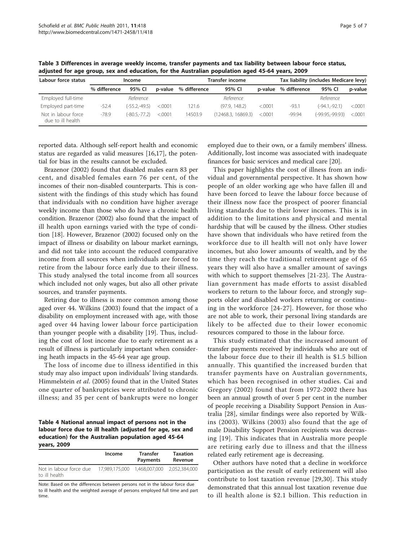| Labour force status                      |              | Income        |          | <b>Transfer income</b> |                    |         | Tax liability (includes Medicare levy) |                   |         |
|------------------------------------------|--------------|---------------|----------|------------------------|--------------------|---------|----------------------------------------|-------------------|---------|
|                                          | % difference | 95% CI        | p-value  | % difference           | 95% CI             | p-value | % difference                           | 95% CI            | p-value |
| Employed full-time                       |              | Reference     |          |                        | Reference          |         |                                        | Reference         |         |
| Employed part-time                       | $-52.4$      | (-55.2.-49.5) | < 0.0001 | 121.6                  | (97.9, 148.2)      | < 0001  | -93.1                                  | $(-94.1,-92.1)$   | < 0001  |
| Not in labour force<br>due to ill health | $-78.9$      | (-80.5.-77.2) | < 0.001  | 14503.9                | (12468.3, 16869.3) | < 0001  | $-99.94$                               | $(-99.95,-99.93)$ | < .0001 |

<span id="page-4-0"></span>Table 3 Differences in average weekly income, transfer payments and tax liability between labour force status, adjusted for age group, sex and education, for the Australian population aged 45-64 years, 2009

reported data. Although self-report health and economic status are regarded as valid measures [\[16,17\]](#page-6-0), the potential for bias in the results cannot be excluded.

Brazenor (2002) found that disabled males earn 83 per cent, and disabled females earn 76 per cent, of the incomes of their non-disabled counterparts. This is consistent with the findings of this study which has found that individuals with no condition have higher average weekly income than those who do have a chronic health condition. Brazenor (2002) also found that the impact of ill health upon earnings varied with the type of condition [\[18](#page-6-0)]. However, Brazenor (2002) focused only on the impact of illness or disability on labour market earnings, and did not take into account the reduced comparative income from all sources when individuals are forced to retire from the labour force early due to their illness. This study analysed the total income from all sources which included not only wages, but also all other private sources, and transfer payments.

Retiring due to illness is more common among those aged over 44. Wilkins (2003) found that the impact of a disability on employment increased with age, with those aged over 44 having lower labour force participation than younger people with a disability [[19](#page-6-0)]. Thus, including the cost of lost income due to early retirement as a result of illness is particularly important when considering heath impacts in the 45-64 year age group.

The loss of income due to illness identified in this study may also impact upon individuals' living standards. Himmelstein *et al.* (2005) found that in the United States one quarter of bankruptcies were attributed to chronic illness; and 35 per cent of bankrupts were no longer

Table 4 National annual impact of persons not in the labour force due to ill health (adjusted for age, sex and education) for the Australian population aged 45-64 years, 2009

|                                          | Income | <b>Transfer</b><br>Payments | <b>Taxation</b><br>Revenue |
|------------------------------------------|--------|-----------------------------|----------------------------|
| Not in labour force due<br>to ill health |        |                             | 2.052.384.000              |

Note: Based on the differences between persons not in the labour force due to ill health and the weighted average of persons employed full time and part time.

employed due to their own, or a family members' illness. Additionally, lost income was associated with inadequate finances for basic services and medical care [\[20](#page-6-0)].

This paper highlights the cost of illness from an individual and governmental perspective. It has shown how people of an older working age who have fallen ill and have been forced to leave the labour force because of their illness now face the prospect of poorer financial living standards due to their lower incomes. This is in addition to the limitations and physical and mental hardship that will be caused by the illness. Other studies have shown that individuals who have retired from the workforce due to ill health will not only have lower incomes, but also lower amounts of wealth, and by the time they reach the traditional retirement age of 65 years they will also have a smaller amount of savings with which to support themselves [[21-23](#page-6-0)]. The Australian government has made efforts to assist disabled workers to return to the labour force, and strongly supports older and disabled workers returning or continuing in the workforce [[24](#page-6-0)-[27](#page-6-0)]. However, for those who are not able to work, their personal living standards are likely to be affected due to their lower economic resources compared to those in the labour force.

This study estimated that the increased amount of transfer payments received by individuals who are out of the labour force due to their ill health is \$1.5 billion annually. This quantified the increased burden that transfer payments have on Australian governments, which has been recognised in other studies. Cai and Gregory (2002) found that from 1972-2002 there has been an annual growth of over 5 per cent in the number of people receiving a Disability Support Pension in Australia [[28\]](#page-6-0), similar findings were also reported by Wilkins (2003). Wilkins (2003) also found that the age of male Disability Support Pension recipients was decreasing [[19](#page-6-0)]. This indicates that in Australia more people are retiring early due to illness and that the illness related early retirement age is decreasing.

Other authors have noted that a decline in workforce participation as the result of early retirement will also contribute to lost taxation revenue [[29,30](#page-6-0)]. This study demonstrated that this annual lost taxation revenue due to ill health alone is \$2.1 billion. This reduction in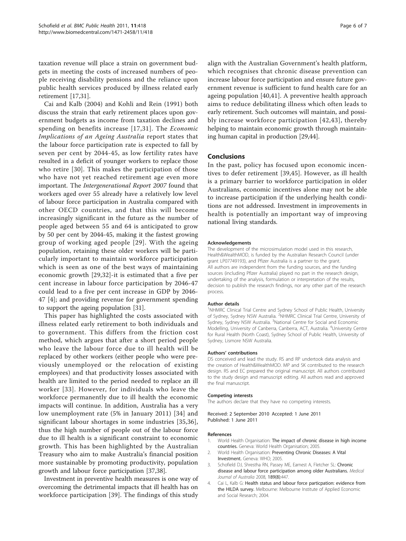<span id="page-5-0"></span>taxation revenue will place a strain on government budgets in meeting the costs of increased numbers of people receiving disability pensions and the reliance upon public health services produced by illness related early retirement [[17,31\]](#page-6-0).

Cai and Kalb (2004) and Kohli and Rein (1991) both discuss the strain that early retirement places upon government budgets as income from taxation declines and spending on benefits increase [\[17,31\]](#page-6-0). The Economic Implications of an Ageing Australia report states that the labour force participation rate is expected to fall by seven per cent by 2044-45, as low fertility rates have resulted in a deficit of younger workers to replace those who retire [\[30](#page-6-0)]. This makes the participation of those who have not yet reached retirement age even more important. The Intergenerational Report 2007 found that workers aged over 55 already have a relatively low level of labour force participation in Australia compared with other OECD countries, and that this will become increasingly significant in the future as the number of people aged between 55 and 64 is anticipated to grow by 50 per cent by 2044-45, making it the fastest growing group of working aged people [[29\]](#page-6-0). With the ageing population, retaining these older workers will be particularly important to maintain workforce participation which is seen as one of the best ways of maintaining economic growth [\[29](#page-6-0),[32\]](#page-6-0)-it is estimated that a five per cent increase in labour force participation by 2046-47 could lead to a five per cent increase in GDP by 2046- 47 [4]; and providing revenue for government spending to support the ageing population [\[31](#page-6-0)].

This paper has highlighted the costs associated with illness related early retirement to both individuals and to government. This differs from the friction cost method, which argues that after a short period people who leave the labour force due to ill health will be replaced by other workers (either people who were previously unemployed or the relocation of existing employees) and that productivity losses associated with health are limited to the period needed to replace an ill worker [[33](#page-6-0)]. However, for individuals who leave the workforce permanently due to ill health the economic impacts will continue. In addition, Australia has a very low unemployment rate (5% in January 2011) [\[34](#page-6-0)] and significant labour shortages in some industries [[35,36](#page-6-0)], thus the high number of people out of the labour force due to ill health is a significant constraint to economic growth. This has been highlighted by the Australian Treasury who aim to make Australia's financial position more sustainable by promoting productivity, population growth and labour force participation [[37](#page-6-0),[38](#page-6-0)].

Investment in preventive health measures is one way of overcoming the detrimental impacts that ill health has on workforce participation [[39\]](#page-6-0). The findings of this study align with the Australian Government's health platform, which recognises that chronic disease prevention can increase labour force participation and ensure future government revenue is sufficient to fund health care for an ageing population [\[40](#page-6-0),[41\]](#page-6-0). A preventive health approach aims to reduce debilitating illness which often leads to early retirement. Such outcomes will maintain, and possibly increase workforce participation [[42](#page-6-0),[43](#page-6-0)], thereby helping to maintain economic growth through maintaining human capital in production [\[29,44\]](#page-6-0).

# Conclusions

In the past, policy has focused upon economic incentives to defer retirement [[39,45](#page-6-0)]. However, as ill health is a primary barrier to workforce participation in older Australians, economic incentives alone may not be able to increase participation if the underlying health conditions are not addressed. Investment in improvements in health is potentially an important way of improving national living standards.

#### Acknowledgements

The development of the microsimulation model used in this research, Health&WealthMOD, is funded by the Australian Research Council (under grant LP07749193), and Pfizer Australia is a partner to the grant. All authors are independent from the funding sources, and the funding sources (including Pfizer Australia) played no part in the research design, undertaking of the analysis, formulation or interpretation of the results, decision to publish the research findings, nor any other part of the research process.

#### Author details

<sup>1</sup>NHMRC Clinical Trial Centre and Sydney School of Public Health, University of Sydney, Sydney NSW Australia. <sup>2</sup>NHMRC Clinical Trial Centre, University of Sydney, Sydney NSW Australia. <sup>3</sup>National Centre for Social and Economic Modelling, University of Canberra, Canberra, ACT, Australia. <sup>4</sup>University Centre for Rural Health (North Coast), Sydney School of Public Health, University of Sydney, Lismore NSW Australia.

#### Authors' contributions

DS conceived and lead the study. RS and RP undertook data analysis and the creation of Health&WealthMOD. MP and SK contributed to the research design. RS and EC prepared the original manuscript. All authors contributed to the study design and manuscript editing. All authors read and approved the final manuscript.

#### Competing interests

The authors declare that they have no competing interests.

Received: 2 September 2010 Accepted: 1 June 2011 Published: 1 June 2011

#### References

- 1. World Health Organisation: The impact of chronic disease in high income countries. Geneva: World Health Organisation; 2005.
- 2. World Health Organisation: Preventing Chronic Diseases: A Vital Investment. Geneva: WHO; 2005.
- 3. Schofield DJ, Shrestha RN, Passey ME, Earnest A, Fletcher SL: [Chronic](http://www.ncbi.nlm.nih.gov/pubmed/18928439?dopt=Abstract) [disease and labour force participation among older Australians.](http://www.ncbi.nlm.nih.gov/pubmed/18928439?dopt=Abstract) Medical Journal of Australia 2008, 189(8):447.
- 4. Cai L, Kalb G: Health status and labour force particpation: evidence from the HILDA survey. Melbourne: Melbourne Institute of Applied Economic and Social Research; 2004.